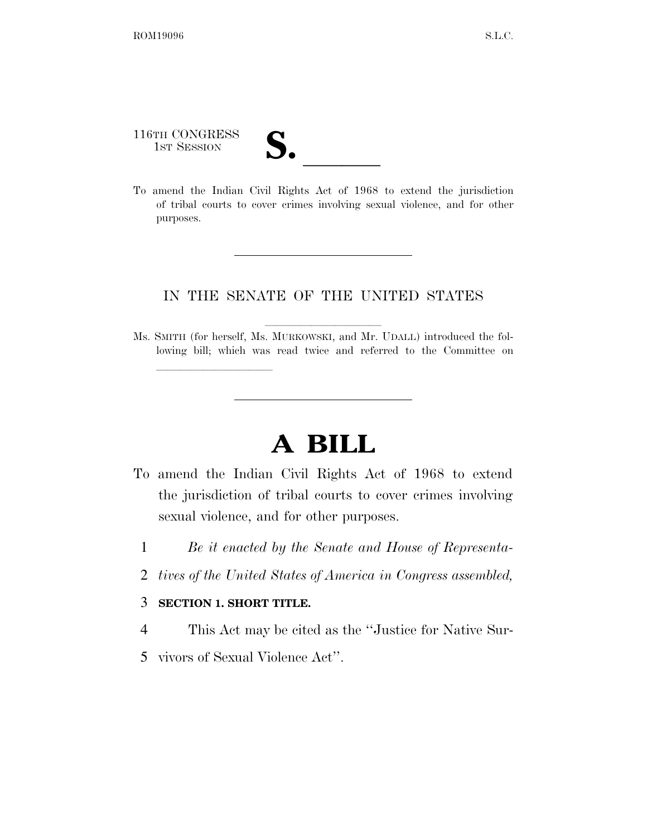116TH CONGRESS

lle and a second control of the second control of the second control of the second control of the second control of the second control of the second control of the second control of the second control of the second control

116TH CONGRESS<br>
1ST SESSION<br>
To amend the Indian Civil Rights Act of 1968 to extend the jurisdiction of tribal courts to cover crimes involving sexual violence, and for other purposes.

## IN THE SENATE OF THE UNITED STATES

Ms. SMITH (for herself, Ms. MURKOWSKI, and Mr. UDALL) introduced the following bill; which was read twice and referred to the Committee on

## **A BILL**

- To amend the Indian Civil Rights Act of 1968 to extend the jurisdiction of tribal courts to cover crimes involving sexual violence, and for other purposes.
	- 1 *Be it enacted by the Senate and House of Representa-*
	- 2 *tives of the United States of America in Congress assembled,*

## 3 **SECTION 1. SHORT TITLE.**

- 4 This Act may be cited as the ''Justice for Native Sur-
- 5 vivors of Sexual Violence Act''.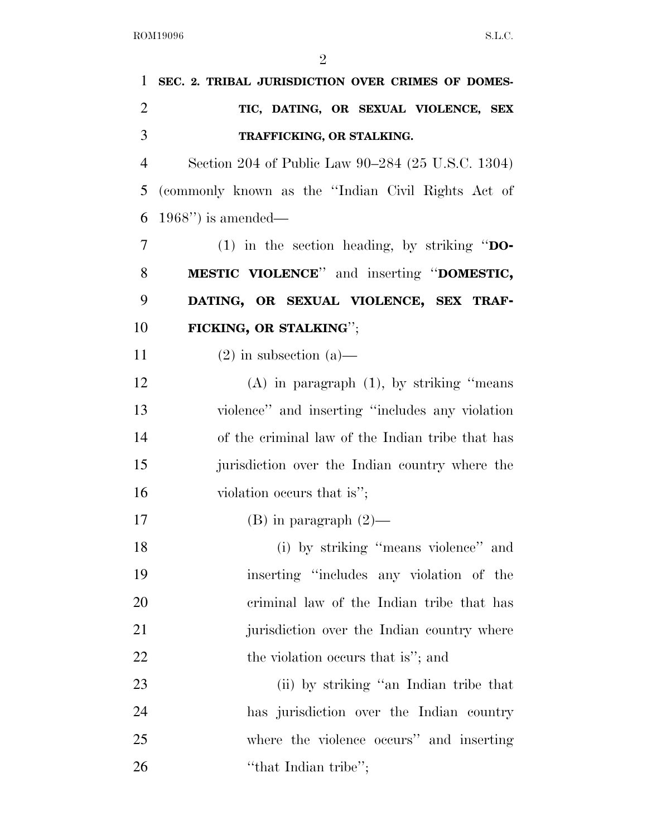| 1              | SEC. 2. TRIBAL JURISDICTION OVER CRIMES OF DOMES-  |
|----------------|----------------------------------------------------|
| $\overline{2}$ | TIC, DATING, OR SEXUAL VIOLENCE, SEX               |
| 3              | TRAFFICKING, OR STALKING.                          |
| $\overline{4}$ | Section 204 of Public Law 90–284 (25 U.S.C. 1304)  |
| 5              | (commonly known as the "Indian Civil Rights Act of |
| 6              | $1968"$ ) is amended—                              |
| 7              | (1) in the section heading, by striking " $DO-$    |
| 8              | <b>MESTIC VIOLENCE</b> " and inserting "DOMESTIC,  |
| 9              | DATING, OR SEXUAL VIOLENCE, SEX TRAF-              |
| 10             | FICKING, OR STALKING";                             |
| 11             | $(2)$ in subsection $(a)$ —                        |
| 12             | $(A)$ in paragraph $(1)$ , by striking "means"     |
| 13             | violence" and inserting "includes any violation    |
| 14             | of the criminal law of the Indian tribe that has   |
| 15             | jurisdiction over the Indian country where the     |
| 16             | violation occurs that is";                         |
| 17             | $(B)$ in paragraph $(2)$ —                         |
| 18             | (i) by striking "means violence" and               |
| 19             | inserting "includes any violation of the           |
| 20             | criminal law of the Indian tribe that has          |
| 21             | jurisdiction over the Indian country where         |
| 22             | the violation occurs that is"; and                 |
| 23             | (ii) by striking "an Indian tribe that             |
| 24             | has jurisdiction over the Indian country           |
| 25             | where the violence occurs" and inserting           |
| 26             | "that Indian tribe";                               |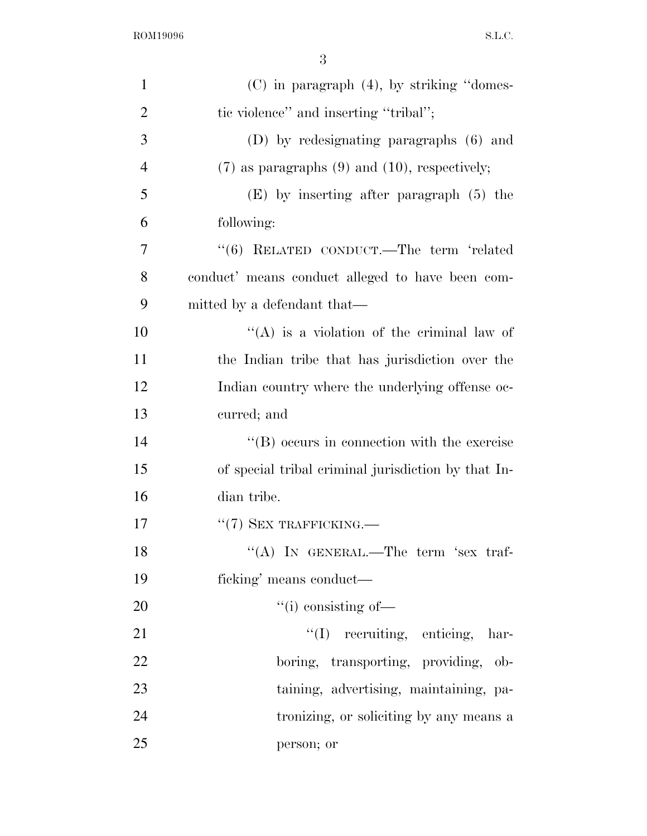ROM19096 S.L.C.

| $\mathbf{1}$   | $(C)$ in paragraph $(4)$ , by striking "domes-       |
|----------------|------------------------------------------------------|
| $\overline{2}$ | tic violence" and inserting "tribal";                |
| 3              | (D) by redesignating paragraphs (6) and              |
| $\overline{4}$ | $(7)$ as paragraphs $(9)$ and $(10)$ , respectively; |
| 5              | $(E)$ by inserting after paragraph $(5)$ the         |
| 6              | following:                                           |
| 7              | "(6) RELATED CONDUCT.—The term 'related              |
| 8              | conduct' means conduct alleged to have been com-     |
| 9              | mitted by a defendant that—                          |
| 10             | $\lq\lq$ is a violation of the criminal law of       |
| 11             | the Indian tribe that has jurisdiction over the      |
| 12             | Indian country where the underlying offense oc-      |
| 13             | curred; and                                          |
| 14             | $\lq\lq (B)$ occurs in connection with the exercise  |
| 15             | of special tribal criminal jurisdiction by that In-  |
| 16             | dian tribe.                                          |
| 17             | $``(7)$ SEX TRAFFICKING.—                            |
| 18             | "(A) IN GENERAL.—The term 'sex traf-                 |
| 19             | ficking' means conduct—                              |
| 20             | $\lq\lq$ (i) consisting of —                         |
| 21             | "(I) recruiting, enticing, har-                      |
| 22             | boring, transporting, providing, ob-                 |
| 23             | taining, advertising, maintaining, pa-               |
| 24             | tronizing, or soliciting by any means a              |
| 25             | person; or                                           |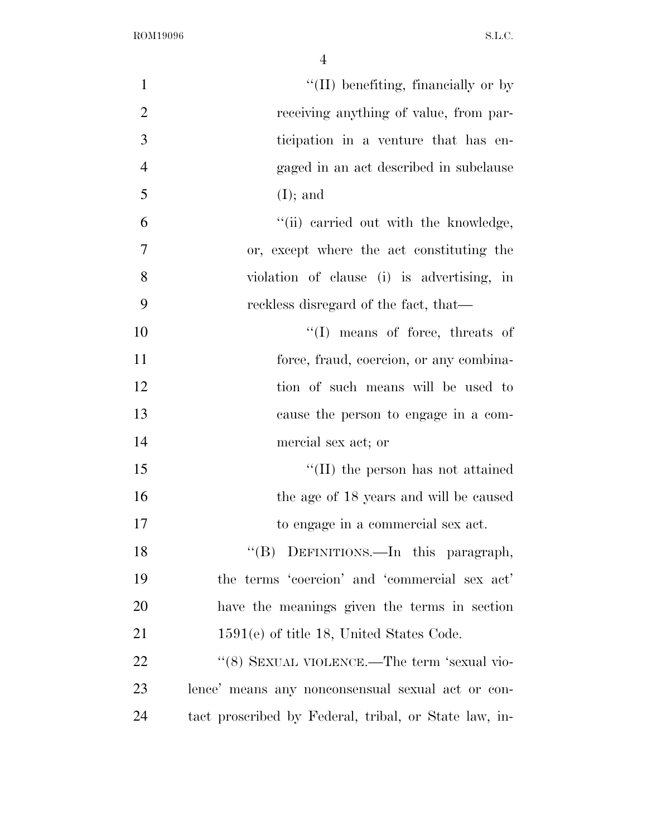| $\mathbf{1}$   | "(II) benefiting, financially or by                   |
|----------------|-------------------------------------------------------|
| $\overline{2}$ | receiving anything of value, from par-                |
| 3              | ticipation in a venture that has en-                  |
| $\overline{4}$ | gaged in an act described in subclause                |
| 5              | $(I);$ and                                            |
| 6              | "(ii) carried out with the knowledge,                 |
| 7              | or, except where the act constituting the             |
| 8              | violation of clause (i) is advertising, in            |
| 9              | reckless disregard of the fact, that—                 |
| 10             | $\lq\lq$ (I) means of force, threats of               |
| 11             | force, fraud, coercion, or any combina-               |
| 12             | tion of such means will be used to                    |
| 13             | cause the person to engage in a com-                  |
| 14             | mercial sex act; or                                   |
| 15             | $\lq\lq$ (II) the person has not attained             |
| 16             | the age of 18 years and will be caused                |
| 17             | to engage in a commercial sex act.                    |
| 18             | "(B) DEFINITIONS.—In this paragraph,                  |
| 19             | the terms 'coercion' and 'commercial sex act'         |
| 20             | have the meanings given the terms in section          |
| 21             | $1591(e)$ of title 18, United States Code.            |
| 22             | "(8) SEXUAL VIOLENCE.—The term 'sexual vio-           |
| 23             | lence' means any nonconsensual sexual act or con-     |
| 24             | tact proscribed by Federal, tribal, or State law, in- |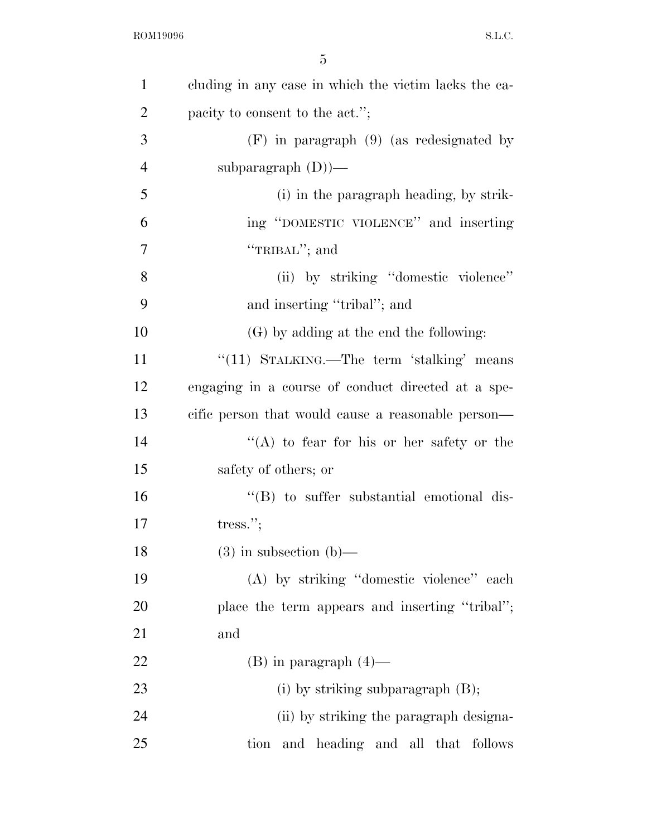| $\mathbf{1}$   | cluding in any case in which the victim lacks the ca- |
|----------------|-------------------------------------------------------|
| $\overline{2}$ | pacity to consent to the act.";                       |
| 3              | $(F)$ in paragraph $(9)$ (as redesignated by          |
| $\overline{4}$ | subparagraph $(D)$ —                                  |
| 5              | (i) in the paragraph heading, by strik-               |
| 6              | ing "DOMESTIC VIOLENCE" and inserting                 |
| 7              | "TRIBAL"; and                                         |
| 8              | (ii) by striking "domestic violence"                  |
| 9              | and inserting "tribal"; and                           |
| 10             | (G) by adding at the end the following:               |
| 11             | "(11) STALKING.—The term 'stalking' means             |
| 12             | engaging in a course of conduct directed at a spe-    |
| 13             | cific person that would cause a reasonable person—    |
| 14             | "(A) to fear for his or her safety or the             |
| 15             | safety of others; or                                  |
| 16             | $\lq\lq$ to suffer substantial emotional dis-         |
| 17             | tress."                                               |
| 18             | $(3)$ in subsection $(b)$ –                           |
| 19             | (A) by striking "domestic violence" each              |
| 20             | place the term appears and inserting "tribal";        |
| 21             | and                                                   |
| 22             | $(B)$ in paragraph $(4)$ —                            |
| 23             | (i) by striking subparagraph $(B)$ ;                  |
| 24             | (ii) by striking the paragraph designa-               |
| 25             | and heading and all that<br>follows<br>tion           |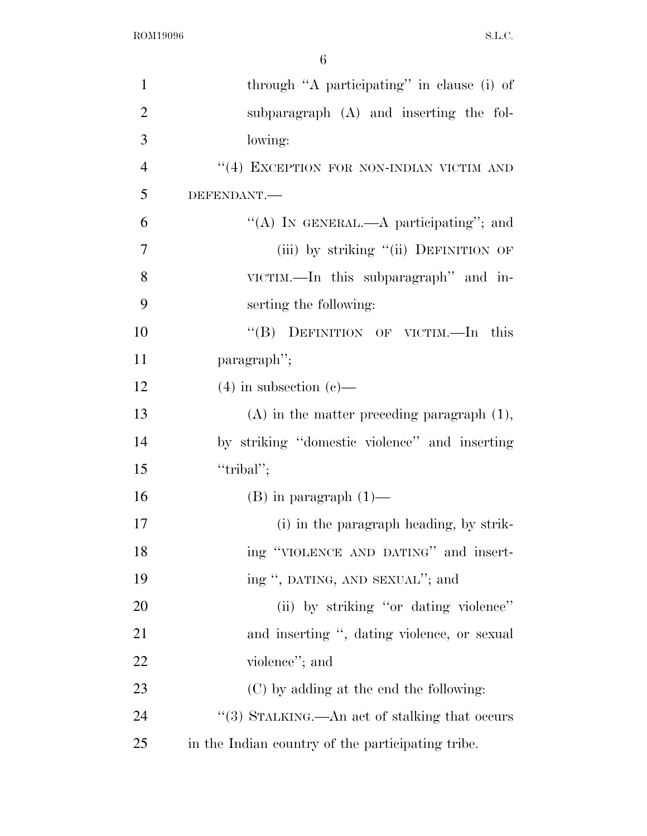| $\mathbf{1}$   | through "A participating" in clause (i) of        |
|----------------|---------------------------------------------------|
| $\overline{2}$ | subparagraph (A) and inserting the fol-           |
| 3              | lowing:                                           |
| $\overline{4}$ | "(4) EXCEPTION FOR NON-INDIAN VICTIM AND          |
| 5              | DEFENDANT.-                                       |
| 6              | "(A) IN GENERAL.—A participating"; and            |
| 7              | (iii) by striking "(ii) DEFINITION OF             |
| 8              | VICTIM.—In this subparagraph" and in-             |
| 9              | serting the following:                            |
| 10             | "(B) DEFINITION OF VICTIM.—In this                |
| 11             | paragraph";                                       |
| 12             | $(4)$ in subsection $(e)$ —                       |
| 13             | $(A)$ in the matter preceding paragraph $(1)$ ,   |
| 14             | by striking "domestic violence" and inserting     |
| 15             | "tribal";                                         |
| 16             | $(B)$ in paragraph $(1)$ —                        |
| 17             | (i) in the paragraph heading, by strik-           |
| 18             | ing "VIOLENCE AND DATING" and insert-             |
| 19             | ing ", DATING, AND SEXUAL"; and                   |
| 20             | (ii) by striking "or dating violence"             |
| 21             | and inserting ", dating violence, or sexual       |
| 22             | violence"; and                                    |
| 23             | (C) by adding at the end the following:           |
| 24             | "(3) STALKING.—An act of stalking that occurs     |
| 25             | in the Indian country of the participating tribe. |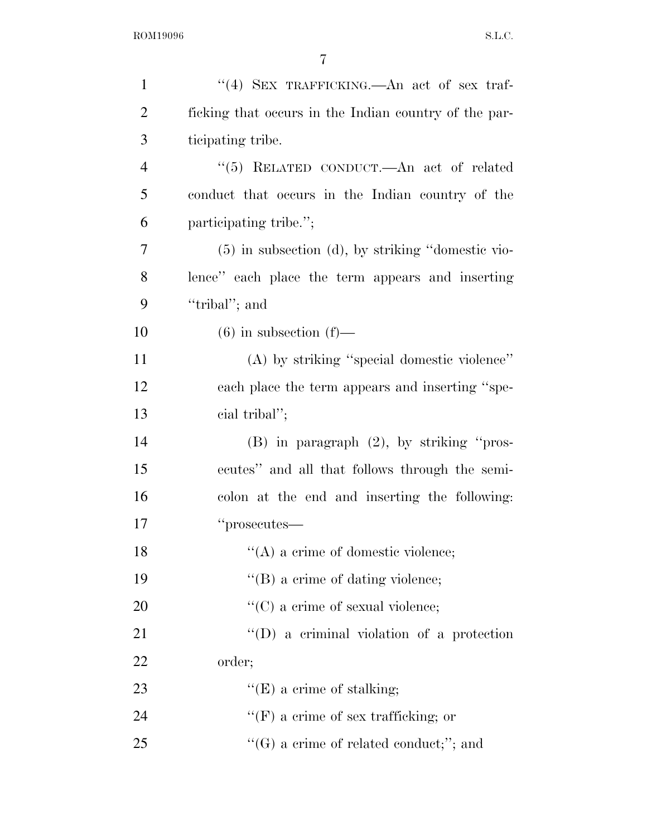| $\mathbf{1}$   | "(4) SEX TRAFFICKING.—An act of sex traf-             |
|----------------|-------------------------------------------------------|
| $\overline{2}$ | ficking that occurs in the Indian country of the par- |
| 3              | ticipating tribe.                                     |
| $\overline{4}$ | "(5) RELATED CONDUCT.—An act of related               |
| 5              | conduct that occurs in the Indian country of the      |
| 6              | participating tribe.";                                |
| 7              | (5) in subsection (d), by striking "domestic vio-     |
| 8              | lence" each place the term appears and inserting      |
| 9              | "tribal"; and                                         |
| 10             | $(6)$ in subsection $(f)$ —                           |
| 11             | (A) by striking "special domestic violence"           |
| 12             | each place the term appears and inserting "spe-       |
| 13             | cial tribal";                                         |
| 14             | $(B)$ in paragraph $(2)$ , by striking "pros-         |
| 15             | ecutes" and all that follows through the semi-        |
| 16             | colon at the end and inserting the following:         |
| 17             | "prosecutes—                                          |
| 18             | $\lq\lq$ (A) a crime of domestic violence;            |
| 19             | $\lq\lq$ (B) a crime of dating violence;              |
| 20             | $\lq\lq$ (C) a crime of sexual violence;              |
| 21             | "(D) a criminal violation of a protection             |
| <u>22</u>      | order;                                                |
| 23             | "(E) a crime of stalking;                             |
| 24             | $\lq\lq(F)$ a crime of sex trafficking; or            |
| 25             | $\lq\lq(G)$ a crime of related conduct;"; and         |